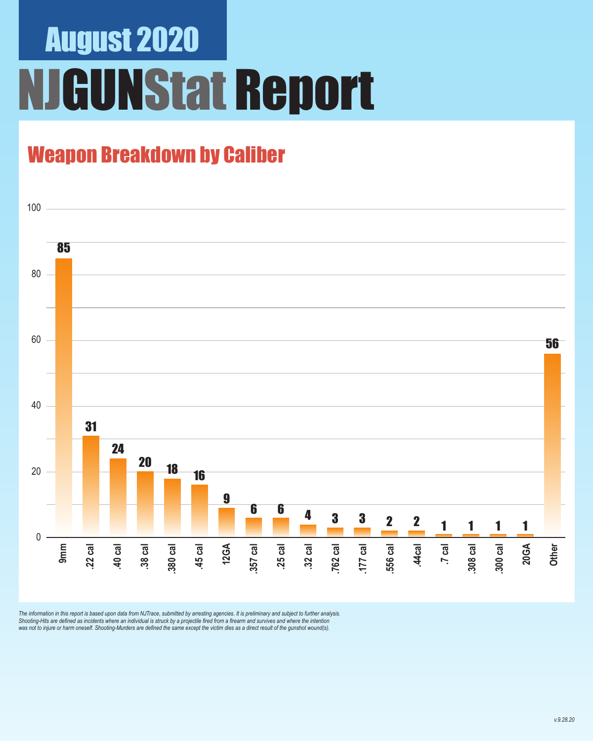# August 2020 **GUNStat Report**

### Weapon Breakdown by Caliber



The information in this report is based upon data from NJTrace, submitted by arresting agencies. It is preliminary and subject to further analysis.<br>Shooting-Hits are defined as incidents where an individual is struck by a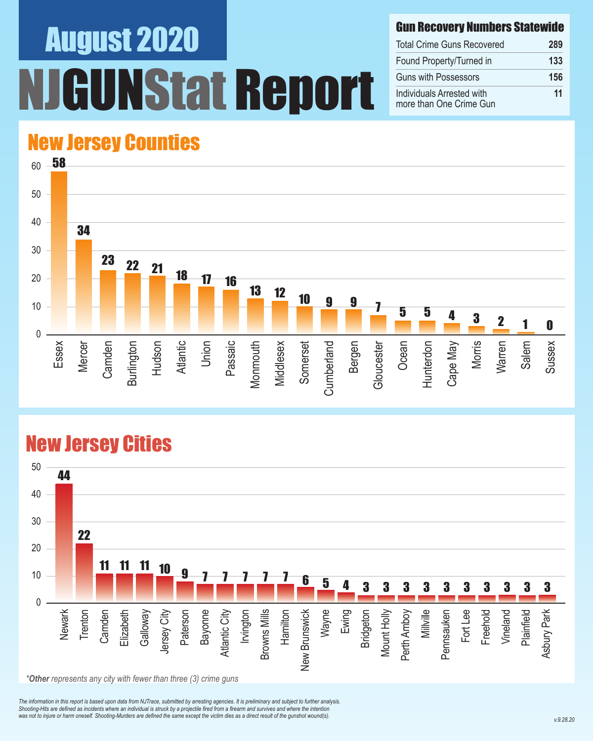# August 2020 Nstat Report

#### Gun Recovery Numbers Statewide

| <b>Total Crime Guns Recovered</b>                    | 289 |
|------------------------------------------------------|-----|
| Found Property/Turned in                             | 133 |
| <b>Guns with Possessors</b>                          | 156 |
| Individuals Arrested with<br>more than One Crime Gun | 11  |

#### New Jersey Counties



#### New Jersey Cities



*The information in this report is based upon data from NJTrace, submitted by arresting agencies. It is preliminary and subject to further analysis. Shooting-Hits are defined as incidents where an individual is struck by a projectile fired from a firearm and survives and where the intention*  was not to injure or harm oneself. Shooting-Murders are defined the same except the victim dies as a direct result of the gunshot wound(s).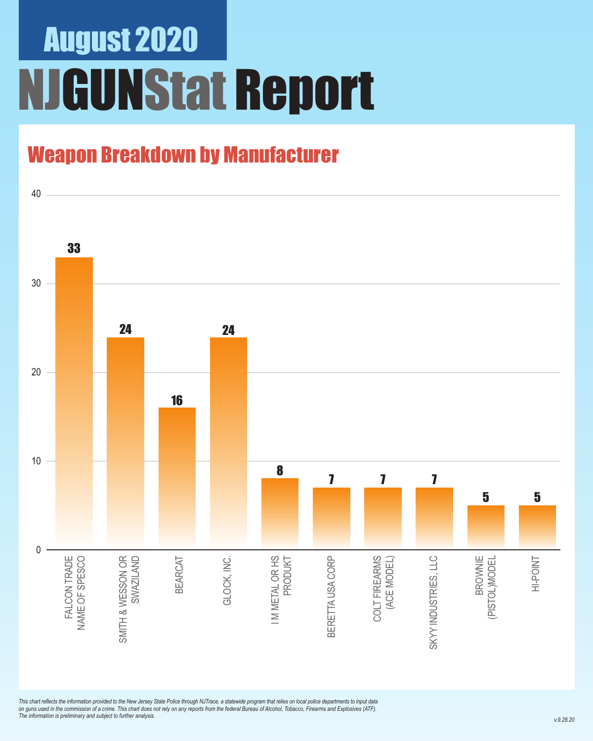## August 2020 NJGUNStat Report

### Weapon Breakdown by Manufacturer



*This chart reflects the information provided to the New Jersey State Police through NJTrace, a statewide program that relies on local police departments to input data on guns used in the commission of a crime. This chart does not rely on any reports from the federal Bureau of Alcohol, Tobacco, Firearms and Explosives (ATF). The information is preliminary and subject to further analysis.*